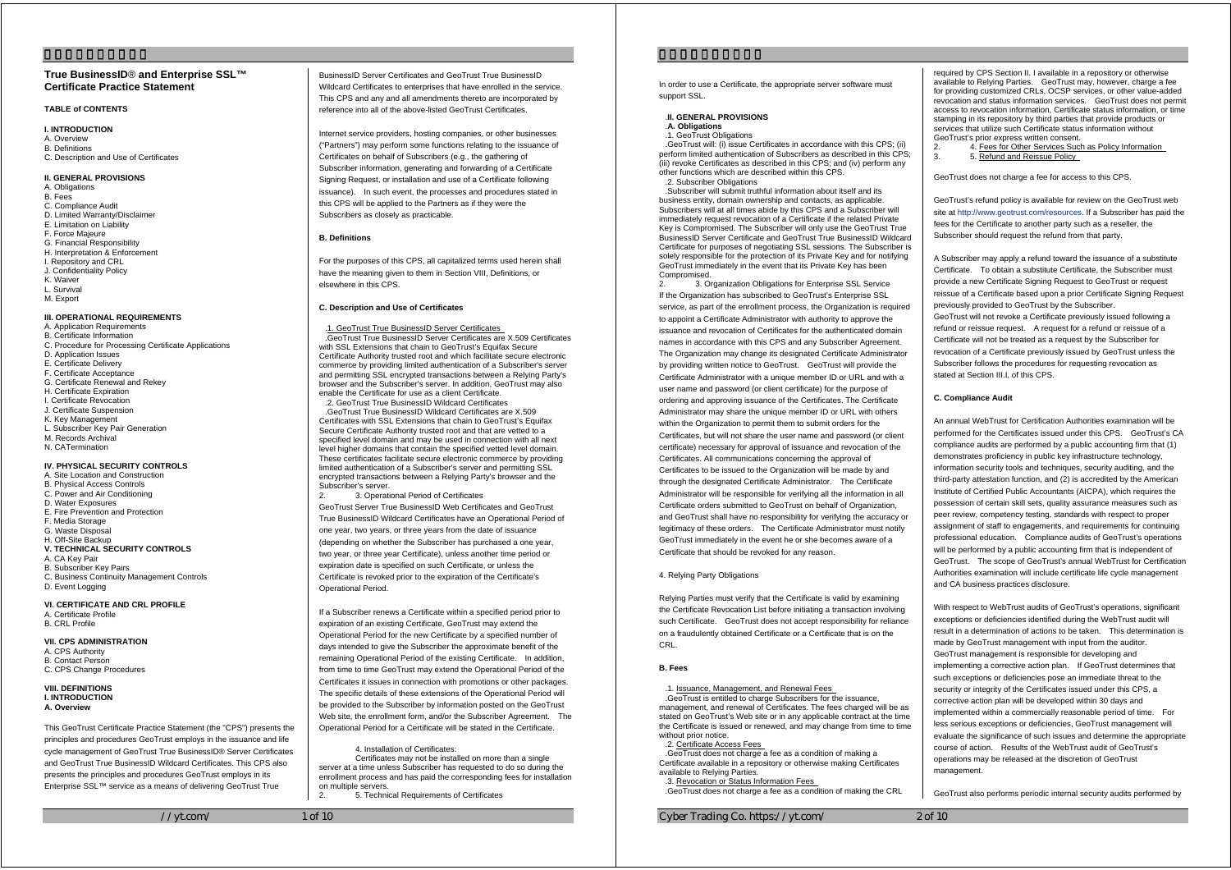# **True BusinessID** ® **and Enterprise SSL™ Certificate Practice Statement**

# **TABLE of CONTENTS**

**I. INTRODUCTION**  A. Overview B. Definitions C. Description and Use of Certificates

#### **II. GENERAL PROVISIONS**

A. Obligations B. Fees C. Compliance Audit D. Limited Warranty/Disclaimer E. Limitation on Liability F. Force Majeure G. Financial Responsibility H. Interpretation & Enforcement I. Repository and CRL J. Confidentiality Policy K. Waiver L. Survival M. Export

# **III. OPERATIONAL REQUIREMENTS**

A. Application Requirements B. Certificate Information C. Procedure for Proce ssing Certificate Applications D. Application Issues E. Certificate Delivery F. Certificate Acceptance G. Certificate Renewal and Rekey H. Certificate Expiration I. Certificate Revocation J. Certificate Suspension K. Key Management L. Subscriber Key Pair Generation M. Records Archival N. CATermination

# **IV. PHYSICAL SECURITY CONTROLS**

- A. Site Location and Construction B. Physical Access Controls C. Power and Air Conditioning D. Water Exposures E. Fire Prevention and Protection F. Media Storage G. Waste Disposal H. Off-Site Backup **V. TECHNICAL SECURITY CONTROLS**  A. CA Key Pair B. Subscriber Key Pairs C. Business Continuity Management Controls
- D. Event Logging

#### **VI. CERTIFICATE AND CRL PROFILE**  A. Certificate Pr ofile B. CRL Profile

- **VII. CPS ADMINISTRATION**
- A. CPS Authority B. Contact Person C. CPS Change Procedures

**VIII. DEFINITIONS I. INTRODUCTION A. Overview** 

This GeoTrust Certificate Practice Statement (the "CPS") presents the principles and procedures GeoTrust employs in the issuance and life cycle management of GeoTrust True BusinessID® Server Certificates and GeoTrust True BusinessID Wildcard Certificates. This CPS also presents the principles and procedures GeoTrust employs in its Enterprise SSL™ service as a means of delivering GeoTrust True

 $//vt.com/$  1 of 10

BusinessID Server Certificates and GeoTrust True BusinessID Wildcard Certificates to enterprises that have enrolled in the service. This CPS and any and all amendments thereto are incorporated by reference into all of the above-listed GeoTrust Certificates.

Internet service providers, hosting companies, or other businesses ("Partners") may perform some functions relating to the issuance of Certificates on behalf of Subscribers (e.g., the gathering of Subscriber information, generating and forwarding of a Certificate Signing Request, or installation and use of a Certificate following issuance). In such event, the processes and procedures stated in this CPS will be applied to the Partners as if they were the Subscribers as closely as practicable.

# **B. Definitions**

For the purposes of this CPS, all capitalized terms used herein shall have the meaning given to them in Section VIII, Definitions, or elsewhere in this CPS.

## **C. Description and Use of Certificates**

### .1. GeoTrust True BusinessID Server Certificates

.GeoTrust True BusinessID Server Certificates are X.509 Certificates with SSL Extensions that chain to GeoTrust's Equitax Secure Certificate Authority trusted root and which facilitate secure electronic commerce by providing limited authentication of a Subscriber's server and permitting SSL encrypted transactions between a Relying Party's browser and the Subscriber's server. In addition, GeoTrust may also enable the Certificate for use as a client Certificate.

.2. GeoTrust True BusinessID Wildcard Certificates .GeoTrust True BusinessID Wildcard Certificates are X.509 Certificates with SSL Extensions that chain to GeoTrust's Equifax Secure Certificate Authority trusted root and that are vetted to a specified level domain and may be used in connection with all next level higher domains that contain the specified vetted level domain. These certificates facilitate secure electronic commerce by providing limited authentication of a Subscriber's server and permitting SSL encrypted transactions between a Relying Party's browser and the Subscriber's server.

2. 3. Operational Period of Certificates GeoTrust Server True BusinessID Web Certificates and GeoTrust True BusinessID Wildcard Certificates have an Operational Period of one year, two years, or three years from the date of issuance (depending on whether the Subscriber has purchased a one year, two year, or three year Certificate), unless another time period or expiration date is specified on such Certificate, or unless the Certificate is revoked prior to the expiration of the Certificate's Operational Period.

If a Subscriber renews a Certificate within a specified period prior to expiration of an existing Certificate, GeoTrust may extend the Operational Period for the new Certificate by a specified number of days intended to give the Subscriber the approximate benefit of the remaining Operational Period of the existing Certificate. In addition, from time to time GeoTrust may extend the Operational Period of the Certificates it issues in connection with promotions or other packages. The specific details of these extensions of the Operational Period will be provided to the Subscriber by information posted on the GeoTrust Web site, the enrollment form, and/or the Subscriber Agreement. The Operational Period for a Certificate will be stated in the Certificate.

4. Installation of Certificates:

 Certificates may not be installed on more than a single server at a time unless Subscriber has requested to do so during the enrollment process and has paid the corresponding fees for installation on multiple servers.

2. 5. Technical Requirements of Certificates

In order to use a Certificate, the appropriate server software must support SSL.

## .**II. GENERAL PROVISIONS**

## .**A. Obligations**

.1. GeoTrust Obligations

.GeoTrust will: (i) issue Certificates in accordance with this CPS; (ii) perform limited authentication of Subscribers as described in this CPS; (iii) revoke Certificates as described in this CPS; and (iv) perform any other functions which are described within this CPS. 2. Subscriber Obligations

.Subscriber will submit truthful information about itself and its business entity, domain ownership and contacts, as applicable. Subscribers will at all times abide by this CPS and a Subscriber will immediately request revocation of a Certificate if the related Private Key is Compromised. The Subscriber will only use the GeoTrust True BusinessID Server Certificate and GeoTrust True BusinessID Wildcard Certificate for purposes of negotiating SSL sessions. The Subscriber is solely responsible for the protection of its Private Key and for notifying GeoTrust immediately in the event that its Private Key has been Compromised

2. 3. Organization Obligations for Enterprise SSL Service If the Organization has subscribed to GeoTrust's Enterprise SSL service, as part of the enrollment process, the Organization is required to appoint a Certificate Administrator with authority to approve the issuance and revocation of Certificates for the authenticated domain names in accordance with this CPS and any Subscriber Agreement. The Organization may change its designated Certificate Administrator by providing written notice to GeoTrust. GeoTrust will provide the Certificate Administrator with a unique member ID or URL and with a user name and password (or client certificate) for the purpose of ordering and approving issuance of the Certificates. The Certificate Administrator may share the unique member ID or URL with others within the Organization to permit them to submit orders for the Certificates, but will not share the user name and password (or client certificate) necessary for approval of issuance and revocation of the Certificates. All communications concerning the approval of Certificates to be issued to the Organization will be made by and through the designated Certificate Administrator. The Certificate Administrator will be responsible for verifying all the information in all Certificate orders submitted to GeoTrust on behalf of Organization, and GeoTrust shall have no responsibility for verifying the accuracy or legitimacy of these orders. The Certificate Administrator must notify GeoTrust immediately in the event he or she becomes aware of a Certificate that should be revoked for any reason.

## 4. Relying Party Obligations

Relying Parties must verify that the Certificate is valid by examining the Certificate Revocation List before initiating a transaction involving such Certificate. GeoTrust does not accept responsibility for reliance on a fraudulently obtained Certificate or a Certificate that is on the CRL.

## **B. Fees**

# .1. Issuance, Management, and Renewal Fees

.GeoTrust is entitled to charge Subscribers for the issuance, management, and renewal of Certificates. The fees charged will be as stated on GeoTrust's Web site or in any applicable contract at the time the Certificate is issued or renewed, and may change from time to time without prior notice.

.2. Certificate Access Fees

.GeoTrust does not charge a fee as a condition of making a Certificate available in a repository or otherwise making Certificates available to Relying Parties.

.3. Revocation or Status Information Fees .GeoTrust does not charge a fee as a condition of making the CRL

Cyber Trading Co. https://yt.com/ 2 of 10

required by CPS Section II. I available in a repository or otherwise available to Relying Parties. GeoTrust may, however, charge a fee for providing customized CRLs, OCSP services, or other value-added revocation and status information services. GeoTrust does not permit access to revocation information, Certificate status information, or time stamping in its repository by third parties that provide products or services that utilize such Certificate status information without GeoTrust's prior express written consent.

- 2. 4. Fees for Other Services Such as Policy Information<br>3. 5. Petund and Peissue Policy 5. Refund and Reissue Policy
- 

GeoTrust does not charge a fee for access to this CPS.

GeoTrust's refund policy is available for review on the GeoTrust web site at http://www.geotrust.com/resources. If a Subscriber has paid the fees for the Certificate to another party such as a reseller, the Subscriber should request the refund from that party.

A Subscriber may apply a refund toward the issuance of a substitute Certificate. To obtain a substitute Certificate, the Subscriber must provide a new Certificate Signing Request to GeoTrust or request reissue of a Certificate based upon a prior Certificate Signing Request previously provided to GeoTrust by the Subscriber. GeoTrust will not revoke a Certificate previously issued following a refund or reissue request. A request for a refund or reissue of a Certificate will not be treated as a request by the Subscriber for revocation of a Certificate previously issued by GeoTrust unless the Subscriber follows the procedures for requesting revocation as stated at Section III.I. of this CPS.

## **C. Compliance Audit**

An annual WebTrust for Certification Authorities examination will be performed for the Certificates issued under this CPS. GeoTrust's CA compliance audits are performed by a public accounting firm that (1) demonstrates proficiency in public key infrastructure technology, information security tools and techniques, security auditing, and the third-party attestation function, and (2) is accredited by the American Institute of Certified Public Accountants (AICPA), which requires the possession of certain skill sets, quality assurance measures such as peer review, competency testing, standards with respect to proper assignment of staff to engagements, and requirements for continuing professional education. Compliance audits of GeoTrust's operations will be performed by a public accounting firm that is independent of GeoTrust. The scope of GeoTrust's annual WebTrust for Certification Authorities examination will include certificate life cycle management and CA business practices disclosure.

With respect to WebTrust audits of GeoTrust's operations, significant exceptions or deficiencies identified during the WebTrust audit will result in a determination of actions to be taken. This determination is made by GeoTrust management with input from the auditor. GeoTrust management is responsible for developing and implementing a corrective action plan. If GeoTrust determines that such exceptions or deficiencies pose an immediate threat to the security or integrity of the Certificates issued under this CPS, a corrective action plan will be developed within 30 days and implemented within a commercially reasonable period of time. For less serious exceptions or deficiencies, GeoTrust management will evaluate the significance of such issues and determine the appropriate course of action. Results of the WebTrust audit of GeoTrust's operations may be released at the discretion of GeoTrust management

GeoTrust also performs periodic internal security audits performed by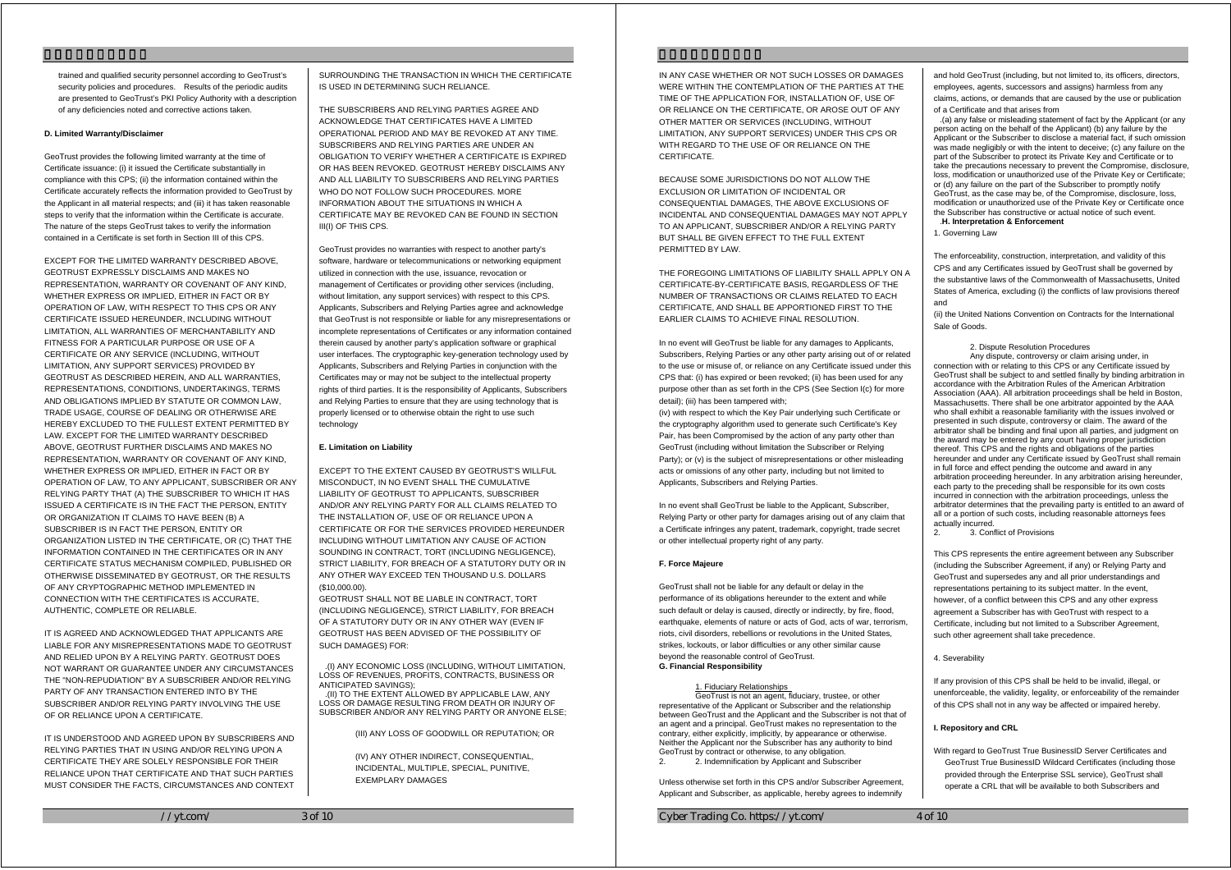trained and qualified security personnel according to GeoTrust's security policies and procedures. Results of the periodic audits are presented to GeoTrust's PKI Policy Authority with a description of any deficiencies noted and corrective actions taken.

#### **D. Limited Warranty/Disclaimer**

GeoTrust provides the following limited warranty at the time of Certificate issuance: (i) it issued the Certificate substantially in compliance with this CPS; (ii) the information contained within the Certificate accurately reflects the information provided to GeoTrust by the Applicant in all material respects; and (iii) it has taken reasonable steps to verify that the information within the Certificate is accurate. The nature of the steps GeoTrust takes to verify the information contained in a Certificate is set forth in Section III of this CPS.

EXCEPT FOR THE LIMITED WARRANTY DESCRIBED ABOVE, GEOTRUST EXPRESSLY DISCLAIMS AND MAKES NO REPRESENTATION, WARRANTY OR COVENANT OF ANY KIND, WHETHER EXPRESS OR IMPLIED, EITHER IN FACT OR BY OPERATION OF LAW, WITH RESPECT TO THIS CPS OR ANY CERTIFICATE ISSUED HEREUNDER, INCLUDING WITHOUT LIMITATION, ALL WARRANTIES OF MERCHANTABILITY AND FITNESS FOR A PARTICULAR PURPOSE OR USE OF A CERTIFICATE OR ANY SERVICE (INCLUDING, WITHOUT LIMITATION, ANY SUPPORT SERVICES) PROVIDED BY GEOTRUST AS DESCRIBED HEREIN, AND ALL WARRANTIES, REPRESENTATIONS, CONDITIONS, UNDERTAKINGS, TERMS AND OBLIGATIONS IMPLIED BY STATUTE OR COMMON LAW, TRADE USAGE, COURSE OF DEALING OR OTHERWISE ARE HEREBY EXCLUDED TO THE FULLEST EXTENT PERMITTED BY LAW. EXCEPT FOR THE LIMITED WARRANTY DESCRIBED ABOVE, GEOTRUST FURTHER DISCLAIMS AND MAKES NO REPRESENTATION, WARRANTY OR COVENANT OF ANY KIND, WHETHER EXPRESS OR IMPLIED, EITHER IN FACT OR BY OPERATION OF LAW, TO ANY APPLICANT, SUBSCRIBER OR ANY RELYING PARTY THAT (A) THE SUBSCRIBER TO WHICH IT HAS ISSUED A CERTIFICATE IS IN THE FACT THE PERSON, ENTITY OR ORGANIZATION IT CLAIMS TO HAVE BEEN (B) A SUBSCRIBER IS IN FACT THE PERSON, ENTITY OR ORGANIZATION LISTED IN THE CERTIFICATE, OR (C) THAT THE INFORMATION CONTAINED IN THE CERTIFICATES OR IN ANY CERTIFICATE STATUS MECHANISM COMPILED, PUBLISHED OR OTHERWISE DISSEMINATED BY GEOTRUST, OR THE RESULTS OF ANY CRYPTOGRAPHIC METHOD IMPLEMENTED IN CONNECTION WITH THE CERTIFICATES IS ACCURATE, AUTHENTIC, COMPLETE OR RELIABLE.

IT IS AGREED AND ACKNOWLEDGED THAT APPLICANTS ARE LIABLE FOR ANY MISREPRESENTATIONS MADE TO GEOTRUST AND RELIED UPON BY A RELYING PARTY. GEOTRUST DOES NOT WARRANT OR GUARANTEE UNDER ANY CIRCUMSTANCES THE "NON-REPUDIATION" BY A SUBSCRIBER AND/OR RELYING PARTY OF ANY TRANSACTION ENTERED INTO BY THE SUBSCRIBER AND/OR RELYING PARTY INVOLVING THE USE OF OR RELIANCE UPON A CERTIFICATE.

IT IS UNDERSTOOD AND AGREED UPON BY SUBSCRIBERS AND RELYING PARTIES THAT IN USING AND/OR RELYING UPON A CERTIFICATE THEY ARE SOLELY RESPONSIBLE FOR THEIR RELIANCE UPON THAT CERTIFICATE AND THAT SUCH PARTIES MUST CONSIDER THE FACTS, CIRCUMSTANCES AND CONTEXT

SURROUNDING THE TRANSACTION IN WHICH THE CERTIFICATE IS USED IN DETERMINING SUCH RELIANCE.

THE SUBSCRIBERS AND RELYING PARTIES AGREE AND ACKNOWLEDGE THAT CERTIFICATES HAVE A LIMITED OPERATIONAL PERIOD AND MAY BE REVOKED AT ANY TIME. SUBSCRIBERS AND RELYING PARTIES ARE UNDER AN OBLIGATION TO VERIFY WHETHER A CERTIFICATE IS EXPIRED OR HAS BEEN REVOKED. GEOTRUST HEREBY DISCLAIMS ANY AND ALL LIABILITY TO SUBSCRIBERS AND RELYING PARTIES WHO DO NOT FOLLOW SUCH PROCEDURES. MORE INFORMATION ABOUT THE SITUATIONS IN WHICH A CERTIFICATE MAY BE REVOKED CAN BE FOUND IN SECTION III(I) OF THIS CPS.

GeoTrust provides no warranties with respect to another party's software, hardware or telecommunications or networking equipment utilized in connection with the use, issuance, revocation or management of Certificates or providing other services (including, without limitation, any support services) with respect to this CPS. Applicants, Subscribers and Relying Parties agree and acknowledge that GeoTrust is not responsible or liable for any misrepresentations or incomplete representations of Certificates or any information contained therein caused by another party's application software or graphical user interfaces. The cryptographic key-generation technology used by Applicants, Subscribers and Relying Parties in conjunction with the Certificates may or may not be subject to the intellectual property rights of third parties. It is the responsibility of Applicants, Subscribers and Relying Parties to ensure that they are using technology that is properly licensed or to otherwise obtain the right to use such technology

## **E. Limitation on Liability**

EXCEPT TO THE EXTENT CAUSED BY GEOTRUST'S WILLFUL MISCONDUCT, IN NO EVENT SHALL THE CUMULATIVE LIABILITY OF GEOTRUST TO APPLICANTS, SUBSCRIBER AND/OR ANY RELYING PARTY FOR ALL CLAIMS RELATED TO THE INSTALLATION OF, USE OF OR RELIANCE UPON A CERTIFICATE OR FOR THE SERVICES PROVIDED HEREUNDER INCLUDING WITHOUT LIMITATION ANY CAUSE OF ACTION SOUNDING IN CONTRACT, TORT (INCLUDING NEGLIGENCE) STRICT LIABILITY, FOR BREACH OF A STATUTORY DUTY OR IN ANY OTHER WAY EXCEED TEN THOUSAND U.S. DOLLARS (\$10,000.00).

GEOTRUST SHALL NOT BE LIABLE IN CONTRACT, TORT (INCLUDING NEGLIGENCE), STRICT LIABILITY, FOR BREACH OF A STATUTORY DUTY OR IN ANY OTHER WAY (EVEN IF GEOTRUST HAS BEEN ADVISED OF THE POSSIBILITY OF SUCH DAMAGES) FOR:

.(I) ANY ECONOMIC LOSS (INCLUDING, WITHOUT LIMITATION, LOSS OF REVENUES, PROFITS, CONTRACTS, BUSINESS OR ANTICIPATED SAVINGS); .(II) TO THE EXTENT ALLOWED BY APPLICABLE LAW, ANY LOSS OR DAMAGE RESULTING FROM DEATH OR INJURY OF SUBSCRIBER AND/OR ANY RELYING PARTY OR ANYONE ELSE

(III) ANY LOSS OF GOODWILL OR REPUTATION; OR

(IV) ANY OTHER INDIRECT, CONSEQUENTIAL, INCIDENTAL, MULTIPLE, SPECIAL, PUNITIVE, EXEMPLARY DAMAGES

IN ANY CASE WHETHER OR NOT SUCH LOSSES OR DAMAGES WERE WITHIN THE CONTEMPLATION OF THE PARTIES AT THE TIME OF THE APPLICATION FOR, INSTALLATION OF, USE OF OR RELIANCE ON THE CERTIFICATE, OR AROSE OUT OF ANY OTHER MATTER OR SERVICES (INCLUDING, WITHOUT LIMITATION, ANY SUPPORT SERVICES) UNDER THIS CPS OR WITH REGARD TO THE USE OF OR RELIANCE ON THE **CERTIFICATE** 

BECAUSE SOME JURISDICTIONS DO NOT ALLOW THE EXCLUSION OR LIMITATION OF INCIDENTAL OR CONSEQUENTIAL DAMAGES, THE ABOVE EXCLUSIONS OF INCIDENTAL AND CONSEQUENTIAL DAMAGES MAY NOT APPLY TO AN APPLICANT, SUBSCRIBER AND/OR A RELYING PARTY BUT SHALL BE GIVEN EFFECT TO THE FULL EXTENT PERMITTED BY LAW.

THE FOREGOING LIMITATIONS OF LIABILITY SHALL APPLY ON A CERTIFICATE-BY-CERTIFICATE BASIS, REGARDLESS OF THE NUMBER OF TRANSACTIONS OR CLAIMS RELATED TO EACH CERTIFICATE, AND SHALL BE APPORTIONED FIRST TO THE EARLIER CLAIMS TO ACHIEVE FINAL RESOLUTION.

In no event will GeoTrust be liable for any damages to Applicants, Subscribers, Relying Parties or any other party arising out of or related to the use or misuse of, or reliance on any Certificate issued under this CPS that: (i) has expired or been revoked; (ii) has been used for any purpose other than as set forth in the CPS (See Section I(c) for more detail); (iii) has been tampered with;

(iv) with respect to which the Key Pair underlying such Certificate or the cryptography algorithm used to generate such Certificate's Key Pair, has been Compromised by the action of any party other than GeoTrust (including without limitation the Subscriber or Relying Party); or (v) is the subject of misrepresentations or other misleading acts or omissions of any other party, including but not limited to Applicants, Subscribers and Relying Parties.

In no event shall GeoTrust be liable to the Applicant, Subscriber, Relying Party or other party for damages arising out of any claim that a Certificate infringes any patent, trademark, copyright, trade secret or other intellectual property right of any party.

### **F. Force Majeure**

GeoTrust shall not be liable for any default or delay in the performance of its obligations hereunder to the extent and while such default or delay is caused, directly or indirectly, by fire, flood, earthquake, elements of nature or acts of God, acts of war, terrorism, riots, civil disorders, rebellions or revolutions in the United States, strikes, lockouts, or labor difficulties or any other similar cause beyond the reasonable control of GeoTrust. **G. Financial Responsibility** 

## 1. Fiduciary Relationships

 GeoTrust is not an agent, fiduciary, trustee, or other representative of the Applicant or Subscriber and the relationship between GeoTrust and the Applicant and the Subscriber is not that of an agent and a principal. GeoTrust makes no representation to the contrary, either explicitly, implicitly, by appearance or otherwise. Neither the Applicant nor the Subscriber has any authority to bind GeoTrust by contract or otherwise, to any obligation. 2. Indemnification by Applicant and Subscriber

Unless otherwise set forth in this CPS and/or Subscriber Agreement, Applicant and Subscriber, as applicable, hereby agrees to indemnify

Cyber Trading Co. https://yt.com/ 4 of 10

and hold GeoTrust (including, but not limited to, its officers, directors, employees, agents, successors and assigns) harmless from any claims, actions, or demands that are caused by the use or publication of a Certificate and that arises from

.(a) any false or misleading statement of fact by the Applicant (or any person acting on the behalf of the Applicant) (b) any failure by the Applicant or the Subscriber to disclose a material fact, if such omission was made negligibly or with the intent to deceive; (c) any failure on the part of the Subscriber to protect its Private Key and Certificate or to take the precautions necessary to prevent the Compromise, disclosure, loss, modification or unauthorized use of the Private Key or Certificate; or (d) any failure on the part of the Subscriber to promptly notify GeoTrust, as the case may be, of the Compromise, disclosure, loss, modification or unauthorized use of the Private Key or Certificate once the Subscriber has constructive or actual notice of such event. .**H. Interpretation & Enforcement** 

1. Governing Law

The enforceability, construction, interpretation, and validity of this CPS and any Certificates issued by GeoTrust shall be governed by the substantive laws of the Commonwealth of Massachusetts, United States of America, excluding (i) the conflicts of law provisions thereof and

(ii) the United Nations Convention on Contracts for the International Sale of Goods.

Any dispute, controversy or claim arising under, in

2. Dispute Resolution Procedures

connection with or relating to this CPS or any Certificate issued by GeoTrust shall be subject to and settled finally by binding arbitration in accordance with the Arbitration Rules of the American Arbitration Association (AAA). All arbitration proceedings shall be held in Boston, Massachusetts. There shall be one arbitrator appointed by the AAA who shall exhibit a reasonable familiarity with the issues involved or presented in such dispute, controversy or claim. The award of the arbitrator shall be binding and final upon all parties, and judgment on the award may be entered by any court having proper jurisdiction thereof. This CPS and the rights and obligations of the parties hereunder and under any Certificate issued by GeoTrust shall remain in full force and effect pending the outcome and award in any arbitration proceeding hereunder. In any arbitration arising hereunder, each party to the preceding shall be responsible for its own costs incurred in connection with the arbitration proceedings, unless the arbitrator determines that the prevailing party is entitled to an award of all or a portion of such costs, including reasonable attorneys fees actually incurred.

2. 3. Conflict of Provisions

This CPS represents the entire agreement between any Subscriber (including the Subscriber Agreement, if any) or Relying Party and GeoTrust and supersedes any and all prior understandings and representations pertaining to its subject matter. In the event, however, of a conflict between this CPS and any other express agreement a Subscriber has with GeoTrust with respect to a Certificate, including but not limited to a Subscriber Agreement, such other agreement shall take precedence.

4. Severability

If any provision of this CPS shall be held to be invalid, illegal, or unenforceable, the validity, legality, or enforceability of the remainder of this CPS shall not in any way be affected or impaired hereby.

### **I. Repository and CRL**

With regard to GeoTrust True BusinessID Server Certificates and GeoTrust True BusinessID Wildcard Certificates (including those provided through the Enterprise SSL service), GeoTrust shall operate a CRL that will be available to both Subscribers and

 $//vt.com/$  3 of 10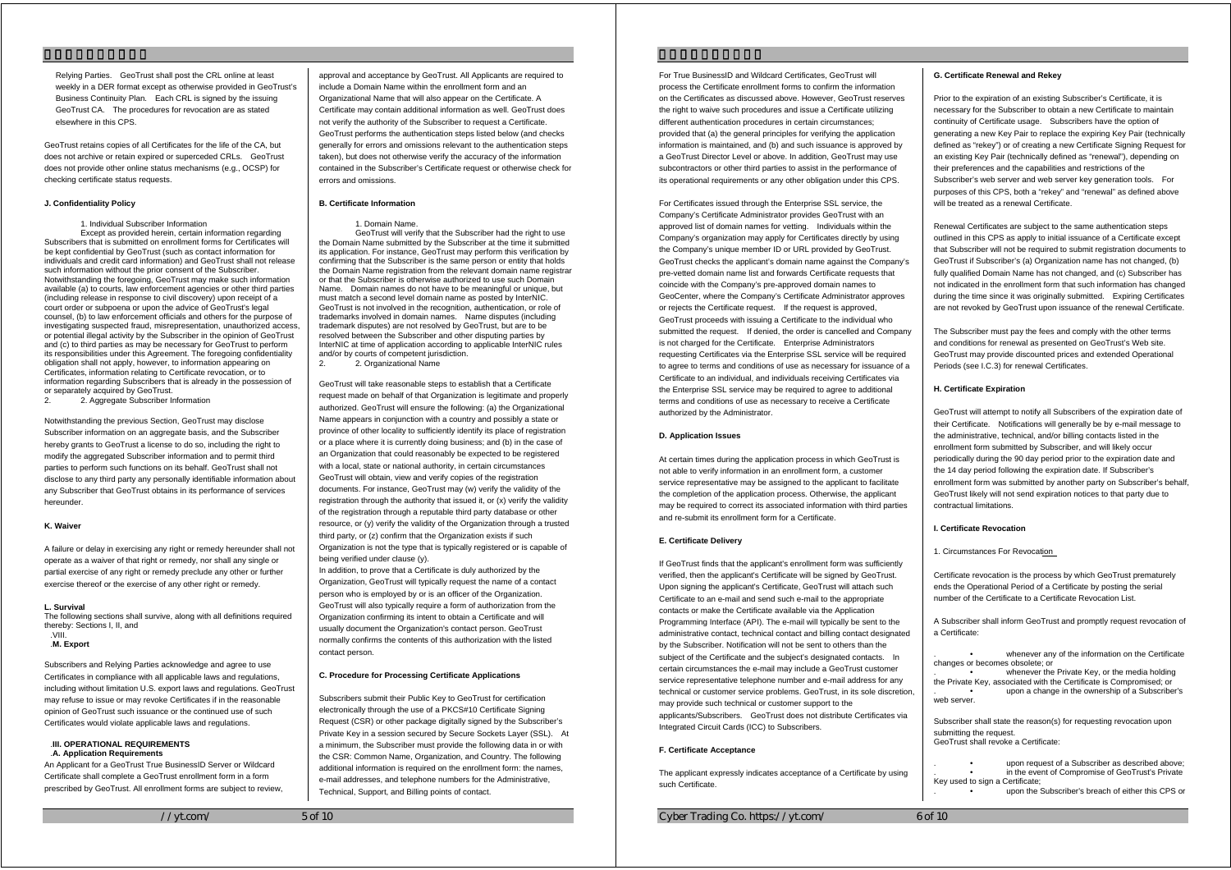Relying Parties. GeoTrust shall post the CRL online at least weekly in a DER format except as otherwise provided in GeoTrust's Business Continuity Plan. Each CRL is signed by the issuing GeoTrust CA. The procedures for revocation are as stated elsewhere in this CPS.

GeoTrust retains copies of all Certificates for the life of the CA, but does not archive or retain expired or superceded CRLs. GeoTrust does not provide other online status mechanisms (e.g., OCSP) for checking certificate status requests.

#### **J. Confidentiality Policy**

1. Individual Subscriber Information

 Except as provided herein, certain information regarding Subscribers that is submitted on enrollment forms for Certificates will be kept confidential by GeoTrust (such as contact information for individuals and credit card information) and GeoTrust shall not release such information without the prior consent of the Subscriber. Notwithstanding the foregoing, GeoTrust may make such information available (a) to courts, law enforcement agencies or other third parties (including release in response to civil discovery) upon receipt of a court order or subpoena or upon the advice of GeoTrust's legal counsel, (b) to law enforcement officials and others for the purpose of investigating suspected fraud, misrepresentation, unauthorized access, or potential illegal activity by the Subscriber in the opinion of GeoTrust and (c) to third parties as may be necessary for GeoTrust to perform its responsibilities under this Agreement. The foregoing confidentiality obligation shall not apply, however, to information appearing on Certificates, information relating to Certificate revocation, or to information regarding Subscribers that is already in the possession of or separately acquired by GeoTrust.<br>2 Aggregate Subscriber I

2. 2. Aggregate Subscriber Information

Notwithstanding the previous Section, GeoTrust may disclose Subscriber information on an aggregate basis, and the Subscriber hereby grants to GeoTrust a license to do so, including the right to modify the aggregated Subscriber information and to permit third parties to perform such functions on its behalf. GeoTrust shall not disclose to any third party any personally identifiable information about any Subscriber that GeoTrust obtains in its performance of services hereunder.

## **K. Waiver**

A failure or delay in exercising any right or remedy hereunder shall not operate as a waiver of that right or remedy, nor shall any single or partial exercise of any right or remedy preclude any other or further exercise thereof or the exercise of any other right or remedy.

#### **L. Survival**

The following sections shall survive, along with all definitions required thereby: Sections I, II, and .VIII.

#### .**M. Export**

Subscribers and Relying Parties acknowledge and agree to use Certificates in compliance with all applicable laws and regulations, including without limitation U.S. export laws and regulations. GeoTrust may refuse to issue or may revoke Certificates if in the reasonable opinion of GeoTrust such issuance or the continued use of such Certificates would violate applicable laws and regulations.

#### .**III. OPERATIONAL REQUIREMENTS**  .**A. Application Requirements**

An Applicant for a GeoTrust True BusinessID Server or Wildcard Certificate shall complete a GeoTrust enrollment form in a form prescribed by GeoTrust. All enrollment forms are subject to review,

 $//vt.com/$  5 of 10

approval and acceptance by GeoTrust. All Applicants are required to include a Domain Name within the enrollment form and an Organizational Name that will also appear on the Certificate. A Certificate may contain additional information as well. GeoTrust does not verify the authority of the Subscriber to request a Certificate. GeoTrust performs the authentication steps listed below (and checks generally for errors and omissions relevant to the authentication steps taken), but does not otherwise verify the accuracy of the information contained in the Subscriber's Certificate request or otherwise check for errors and omissions.

#### **B. Certificate Information**

#### 1. Domain Name.

GeoTrust will verify that the Subscriber had the right to use the Domain Name submitted by the Subscriber at the time it submitted its application. For instance, GeoTrust may perform this verification by confirming that the Subscriber is the same person or entity that holds the Domain Name registration from the relevant domain name registrar or that the Subscriber is otherwise authorized to use such Domain Name. Domain names do not have to be meaningful or unique, but must match a second level domain name as posted by InterNIC. GeoTrust is not involved in the recognition, authentication, or role of trademarks involved in domain names. Name disputes (including trademark disputes) are not resolved by GeoTrust, but are to be resolved between the Subscriber and other disputing parties by InterNIC at time of application according to applicable InterNIC rules and/or by courts of competent jurisdiction. 2. 2. Organizational Name

GeoTrust will take reasonable steps to establish that a Certificate

request made on behalf of that Organization is legitimate and properly authorized. GeoTrust will ensure the following: (a) the Organizational Name appears in conjunction with a country and possibly a state or province of other locality to sufficiently identify its place of registration or a place where it is currently doing business; and (b) in the case of an Organization that could reasonably be expected to be registered with a local, state or national authority, in certain circumstances GeoTrust will obtain, view and verify copies of the registration documents. For instance, GeoTrust may (w) verify the validity of the registration through the authority that issued it, or (x) verify the validity of the registration through a reputable third party database or other resource, or (y) verify the validity of the Organization through a trusted third party, or (z) confirm that the Organization exists if such Organization is not the type that is typically registered or is capable of being verified under clause (y).

In addition, to prove that a Certificate is duly authorized by the Organization, GeoTrust will typically request the name of a contact person who is employed by or is an officer of the Organization. GeoTrust will also typically require a form of authorization from the Organization confirming its intent to obtain a Certificate and will usually document the Organization's contact person. GeoTrust normally confirms the contents of this authorization with the listed contact person.

#### **C. Procedure for Processing Certificate Applications**

Subscribers submit their Public Key to GeoTrust for certification electronically through the use of a PKCS#10 Certificate Signing Request (CSR) or other package digitally signed by the Subscriber's Private Key in a session secured by Secure Sockets Layer (SSL). At a minimum, the Subscriber must provide the following data in or with the CSR: Common Name, Organization, and Country. The following additional information is required on the enrollment form: the names, e-mail addresses, and telephone numbers for the Administrative, Technical, Support, and Billing points of contact.

For True BusinessID and Wildcard Certificates, GeoTrust will process the Certificate enrollment forms to confirm the information on the Certificates as discussed above. However, GeoTrust reserves the right to waive such procedures and issue a Certificate utilizing different authentication procedures in certain circumstances; provided that (a) the general principles for verifying the application information is maintained, and (b) and such issuance is approved by a GeoTrust Director Level or above. In addition, GeoTrust may use subcontractors or other third parties to assist in the performance of its operational requirements or any other obligation under this CPS.

For Certificates issued through the Enterprise SSL service, the Company's Certificate Administrator provides GeoTrust with an approved list of domain names for vetting. Individuals within the Company's organization may apply for Certificates directly by using the Company's unique member ID or URL provided by GeoTrust. GeoTrust checks the applicant's domain name against the Company's pre-vetted domain name list and forwards Certificate requests that coincide with the Company's pre-approved domain names to GeoCenter, where the Company's Certificate Administrator approves or rejects the Certificate request. If the request is approved, GeoTrust proceeds with issuing a Certificate to the individual who submitted the request. If denied, the order is cancelled and Company is not charged for the Certificate. Enterprise Administrators requesting Certificates via the Enterprise SSL service will be required to agree to terms and conditions of use as necessary for issuance of a Certificate to an individual, and individuals receiving Certificates via the Enterprise SSL service may be required to agree to additional terms and conditions of use as necessary to receive a Certificate authorized by the Administrator.

### **D. Application Issues**

At certain times during the application process in which GeoTrust is not able to verify information in an enrollment form, a customer service representative may be assigned to the applicant to facilitate the completion of the application process. Otherwise, the applicant may be required to correct its associated information with third parties and re-submit its enrollment form for a Certificate.

## **E. Certificate Delivery**

If GeoTrust finds that the applicant's enrollment form was sufficiently verified, then the applicant's Certificate will be signed by GeoTrust. Upon signing the applicant's Certificate, GeoTrust will attach such Certificate to an e-mail and send such e-mail to the appropriate contacts or make the Certificate available via the Application Programming Interface (API). The e-mail will typically be sent to the administrative contact, technical contact and billing contact designated by the Subscriber. Notification will not be sent to others than the subject of the Certificate and the subject's designated contacts. In certain circumstances the e-mail may include a GeoTrust customer service representative telephone number and e-mail address for any technical or customer service problems. GeoTrust, in its sole discretion, may provide such technical or customer support to the applicants/Subscribers. GeoTrust does not distribute Certificates via Integrated Circuit Cards (ICC) to Subscribers.

#### **F. Certificate Acceptance**

The applicant expressly indicates acceptance of a Certificate by using such Certificate.

Cyber Trading Co. https://yt.com/ 6 of 10

#### **G. Certificate Renewal and Rekey**

Prior to the expiration of an existing Subscriber's Certificate, it is necessary for the Subscriber to obtain a new Certificate to maintain continuity of Certificate usage. Subscribers have the option of generating a new Key Pair to replace the expiring Key Pair (technically defined as "rekey") or of creating a new Certificate Signing Request for an existing Key Pair (technically defined as "renewal"), depending on their preferences and the capabilities and restrictions of the Subscriber's web server and web server key generation tools. For purposes of this CPS, both a "rekey" and "renewal" as defined above will be treated as a renewal Certificate.

Renewal Certificates are subject to the same authentication steps outlined in this CPS as apply to initial issuance of a Certificate except that Subscriber will not be required to submit registration documents to GeoTrust if Subscriber's (a) Organization name has not changed, (b) fully qualified Domain Name has not changed, and (c) Subscriber has not indicated in the enrollment form that such information has changed during the time since it was originally submitted. Expiring Certificates are not revoked by GeoTrust upon issuance of the renewal Certificate.

The Subscriber must pay the fees and comply with the other terms and conditions for renewal as presented on GeoTrust's Web site. GeoTrust may provide discounted prices and extended Operational Periods (see I.C.3) for renewal Certificates.

#### **H. Certificate Expiration**

GeoTrust will attempt to notify all Subscribers of the expiration date of their Certificate. Notifications will generally be by e-mail message to the administrative, technical, and/or billing contacts listed in the enrollment form submitted by Subscriber, and will likely occur periodically during the 90 day period prior to the expiration date and the 14 day period following the expiration date. If Subscriber's enrollment form was submitted by another party on Subscriber's behalf, GeoTrust likely will not send expiration notices to that party due to contractual limitations.

#### **I. Certificate Revocation**

1. Circumstances For Revocation

| Certificate revocation is the process by which GeoTrust prematurely<br>ends the Operational Period of a Certificate by posting the serial<br>number of the Certificate to a Certificate Revocation List. |                                                                                                                                                                                                                                 |
|----------------------------------------------------------------------------------------------------------------------------------------------------------------------------------------------------------|---------------------------------------------------------------------------------------------------------------------------------------------------------------------------------------------------------------------------------|
| A Subscriber shall inform GeoTrust and promptly request revocation of<br>a Certificate:                                                                                                                  |                                                                                                                                                                                                                                 |
| changes or becomes obsolete; or<br>web server.                                                                                                                                                           | whenever any of the information on the Certificate<br>whenever the Private Key, or the media holding<br>the Private Key, associated with the Certificate is Compromised; or<br>upon a change in the ownership of a Subscriber's |
| Subscriber shall state the reason(s) for requesting revocation upon<br>submitting the request.<br>GeoTrust shall revoke a Certificate:                                                                   |                                                                                                                                                                                                                                 |
| Key used to sign a Certificate;                                                                                                                                                                          | upon request of a Subscriber as described above;<br>in the event of Compromise of GeoTrust's Private<br>upon the Subscriber's breach of either this CPS or                                                                      |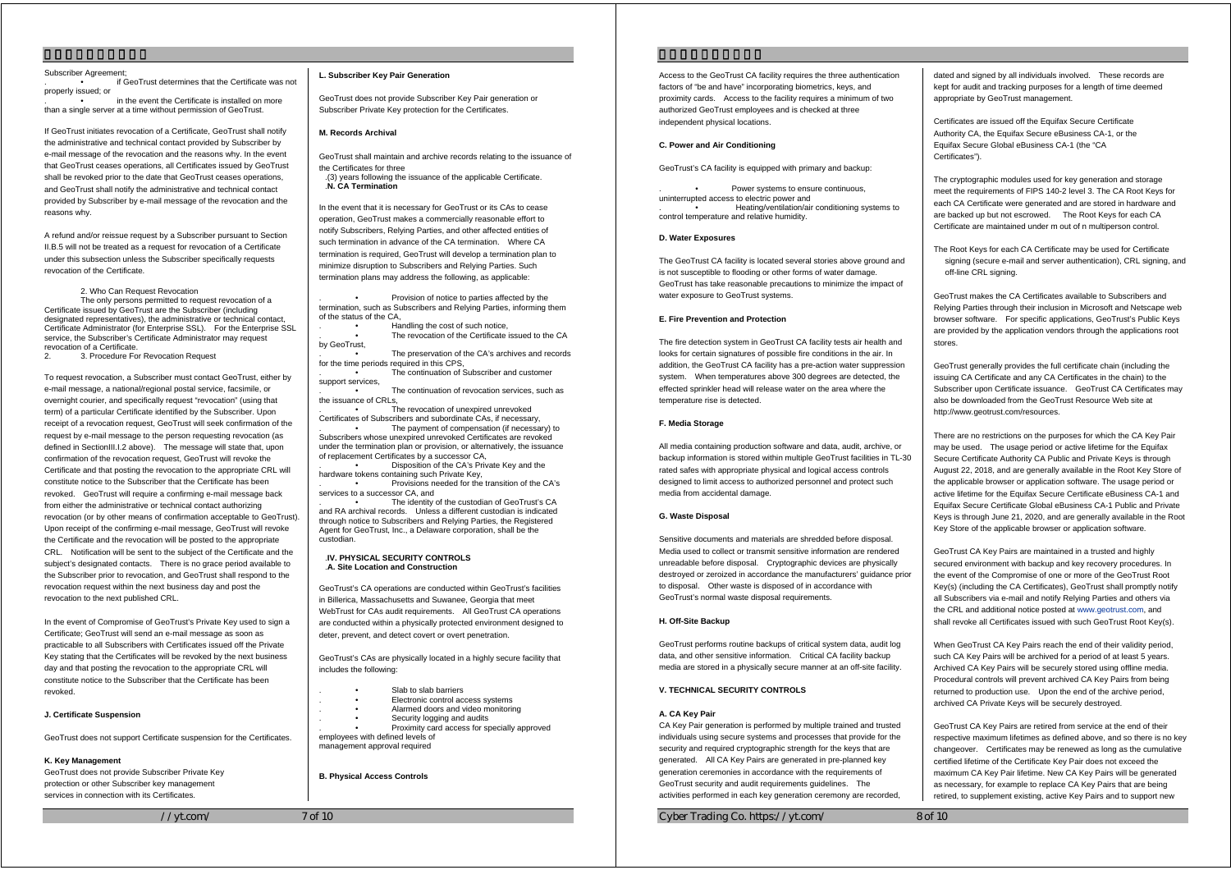#### Subscriber Agreement;

. • if GeoTrust determines that the Certificate was not properly issued; or

in the event the Certificate is installed on more than a single server at a time without permission of GeoTrust.

If GeoTrust initiates revocation of a Certificate, GeoTrust shall notify the administrative and technical contact provided by Subscriber by e-mail message of the revocation and the reasons why. In the event that GeoTrust ceases operations, all Certificates issued by GeoTrust shall be revoked prior to the date that GeoTrust ceases operations, and GeoTrust shall notify the administrative and technical contact provided by Subscriber by e-mail message of the revocation and the reasons why.

A refund and/or reissue request by a Subscriber pursuant to Section II.B.5 will not be treated as a request for revocation of a Certificate under this subsection unless the Subscriber specifically requests revocation of the Certificate.

#### 2. Who Can Request Revocation

 The only persons permitted to request revocation of a Certificate issued by GeoTrust are the Subscriber (including designated representatives), the administrative or technical contact, Certificate Administrator (for Enterprise SSL). For the Enterprise SSL service, the Subscriber's Certificate Administrator may request revocation of a Certificate.

2. 3. Procedure For Revocation Request

To request revocation, a Subscriber must contact GeoTrust, either by e-mail message, a national/regional postal service, facsimile, or overnight courier, and specifically request "revocation" (using that term) of a particular Certificate identified by the Subscriber. Upon receipt of a revocation request, GeoTrust will seek confirmation of the request by e-mail message to the person requesting revocation (as defined in SectionIII.I.2 above). The message will state that, upon confirmation of the revocation request, GeoTrust will revoke the Certificate and that posting the revocation to the appropriate CRL will constitute notice to the Subscriber that the Certificate has been revoked. GeoTrust will require a confirming e-mail message back from either the administrative or technical contact authorizing revocation (or by other means of confirmation acceptable to GeoTrust). Upon receipt of the confirming e-mail message, GeoTrust will revoke the Certificate and the revocation will be posted to the appropriate CRL. Notification will be sent to the subject of the Certificate and the subject's designated contacts. There is no grace period available to the Subscriber prior to revocation, and GeoTrust shall respond to the revocation request within the next business day and post the revocation to the next published CRL.

In the event of Compromise of GeoTrust's Private Key used to sign a Certificate; GeoTrust will send an e-mail message as soon as practicable to all Subscribers with Certificates issued off the Private Key stating that the Certificates will be revoked by the next business day and that posting the revocation to the appropriate CRL will constitute notice to the Subscriber that the Certificate has been revoked.

## **J. Certificate Suspension**

GeoTrust does not support Certificate suspension for the Certificates.

#### **K. Key Management**

GeoTrust does not provide Subscriber Private Key protection or other Subscriber key management services in connection with its Certificates.

 $//vt.com/$  7 of 10

#### **L. Subscriber Key Pair Generation**

GeoTrust does not provide Subscriber Key Pair generation or Subscriber Private Key protection for the Certificates.

## **M. Records Archival**

GeoTrust shall maintain and archive records relating to the issuance of the Certificates for three .(3) years following the issuance of the applicable Certificate.

.**N. CA Termination** 

In the event that it is necessary for GeoTrust or its CAs to cease operation, GeoTrust makes a commercially reasonable effort to notify Subscribers, Relying Parties, and other affected entities of such termination in advance of the CA termination. Where CA termination is required, GeoTrust will develop a termination plan to minimize disruption to Subscribers and Relying Parties. Such termination plans may address the following, as applicable:

. • Provision of notice to parties affected by the termination, such as Subscribers and Relying Parties, informing them of the status of the CA,

. • Handling the cost of such notice, The revocation of the Certificate issued to the CA

by GeoTrust, The preservation of the CA's archives and records for the time periods required in this CPS,

The continuation of Subscriber and customer support services.

The continuation of revocation services, such as the issuance of CRLs,

The revocation of unexpired unrevoked Certificates of Subscribers and subordinate CAs, if necessary, The payment of compensation (if necessary) to Subscribers whose unexpired unrevoked Certificates are revoked under the termination plan or provision, or alternatively, the issuance of replacement Certificates by a successor CA,

Disposition of the CA's Private Key and the hardware tokens containing such Private Key, . • Provisions needed for the transition of the CA's

services to a successor CA, and . • The identity of the custodian of GeoTrust's CA

and RA archival records. Unless a different custodian is indicated through notice to Subscribers and Relying Parties, the Registered Agent for GeoTrust, Inc., a Delaware corporation, shall be the custodian.

#### .**IV. PHYSICAL SECURITY CONTROLS** .**A. Site Location and Construction**

GeoTrust's CA operations are conducted within GeoTrust's facilities in Billerica, Massachusetts and Suwanee, Georgia that meet WebTrust for CAs audit requirements. All GeoTrust CA operations are conducted within a physically protected environment designed to deter, prevent, and detect covert or overt penetration.

GeoTrust's CAs are physically located in a highly secure facility that includes the following:

- Slab to slab barriers
- Electronic control access systems
- . Alarmed doors and video mon itoring Security logging and audits
	- Proximity card access for specially approved
- employees with defined levels of management approval required

**B. Physical Access Controls** 

Access to the GeoTrust CA facility requires the three authentication factors of "be and have" incorporating biometrics, keys, and proximity cards. Access to the facility requires a minimum of two authorized GeoTrust employees and is checked at three independent physical locations.

## **C. Power and Air Conditioning**

GeoTrust's CA facility is equipped with primary and backup:

Power systems to ensure continuous, uninterrupted access to electric power and . • Heating/ventilation/air conditioning systems to control temperature and relative humidity.

## **D. Water Exposures**

The GeoTrust CA facility is located several stories above ground and is not susceptible to flooding or other forms of water damage. GeoTrust has take reasonable precautions to minimize the impact of water exposure to GeoTrust systems.

### **E. Fire Prevention and Protection**

The fire detection system in GeoTrust CA facility tests air health and looks for certain signatures of possible fire conditions in the air. In addition, the GeoTrust CA facility has a pre-action water suppression system. When temperatures above 300 degrees are detected, the effected sprinkler head will release water on the area where the temperature rise is detected.

### **F. Media Storage**

All media containing production software and data, audit, archive, or backup information is stored within multiple GeoTrust facilities in TL-30 rated safes with appropriate physical and logical access controls designed to limit access to authorized personnel and protect such media from accidental damage.

#### **G. Waste Disposal**

Sensitive documents and materials are shredded before disposal. Media used to collect or transmit sensitive information are rendered unreadable before disposal. Cryptographic devices are physically destroyed or zeroized in accordance the manufacturers' guidance prior to disposal. Other waste is disposed of in accordance with GeoTrust's normal waste disposal requirements.

#### **H. Off-Site Backup**

GeoTrust performs routine backups of critical system data, audit log data, and other sensitive information. Critical CA facility backup media are stored in a physically secure manner at an off-site facility.

## **V. TECHNICAL SECURITY CONTROLS**

#### **A. CA Key Pair**

CA Key Pair generation is performed by multiple trained and trusted individuals using secure systems and processes that provide for the security and required cryptographic strength for the keys that are generated. All CA Key Pairs are generated in pre-planned key generation ceremonies in accordance with the requirements of GeoTrust security and audit requirements guidelines. The activities performed in each key generation ceremony are recorded,

Cyber Trading Co. https://yt.com/ 8 of 10

dated and signed by all individuals involved. These records are kept for audit and tracking purposes for a length of time deemed appropriate by GeoTrust management.

Certificates are issued off the Equifax Secure Certificate Authority CA, the Equifax Secure eBusiness CA-1, or the Equifax Secure Global eBusiness CA-1 (the "CA Certificates").

The cryptographic modules used for key generation and storage meet the requirements of FIPS 140-2 level 3. The CA Root Keys for each CA Certificate were generated and are stored in hardware and are backed up but not escrowed. The Root Keys for each CA Certificate are maintained under m out of n multiperson control.

The Root Keys for each CA Certificate may be used for Certificate signing (secure e-mail and server authentication), CRL signing, and off-line CRL signing.

GeoTrust makes the CA Certificates available to Subscribers and Relying Parties through their inclusion in Microsoft and Netscape web browser software. For specific applications, GeoTrust's Public Keys are provided by the application vendors through the applications root stores.

GeoTrust generally provides the full certificate chain (including the issuing CA Certificate and any CA Certificates in the chain) to the Subscriber upon Certificate issuance. GeoTrust CA Certificates may also be downloaded from the GeoTrust Resource Web site at http://www.geotrust.com/resources.

There are no restrictions on the purposes for which the CA Key Pair may be used. The usage period or active lifetime for the Equitax Secure Certificate Authority CA Public and Private Keys is through August 22, 2018, and are generally available in the Root Key Store of the applicable browser or application software. The usage period or active lifetime for the Equifax Secure Certificate eBusiness CA-1 and Equifax Secure Certificate Global eBusiness CA-1 Public and Private Keys is through June 21, 2020, and are generally available in the Root Key Store of the applicable browser or application software.

GeoTrust CA Key Pairs are maintained in a trusted and highly secured environment with backup and key recovery procedures. In the event of the Compromise of one or more of the GeoTrust Root Key(s) (including the CA Certificates), GeoTrust shall promptly notify all Subscribers via e-mail and notify Relying Parties and others via the CRL and additional notice posted at www.geotrust.com, and shall revoke all Certificates issued with such GeoTrust Root Key(s).

When GeoTrust CA Key Pairs reach the end of their validity period, such CA Key Pairs will be archived for a period of at least 5 years. Archived CA Key Pairs will be securely stored using offline media. Procedural controls will prevent archived CA Key Pairs from being returned to production use. Upon the end of the archive period, archived CA Private Keys will be securely destroyed.

GeoTrust CA Key Pairs are retired from service at the end of their respective maximum lifetimes as defined above, and so there is no key changeover. Certificates may be renewed as long as the cumulative certified lifetime of the Certificate Key Pair does not exceed the maximum CA Key Pair lifetime. New CA Key Pairs will be generated as necessary, for example to replace CA Key Pairs that are being retired, to supplement existing, active Key Pairs and to support new